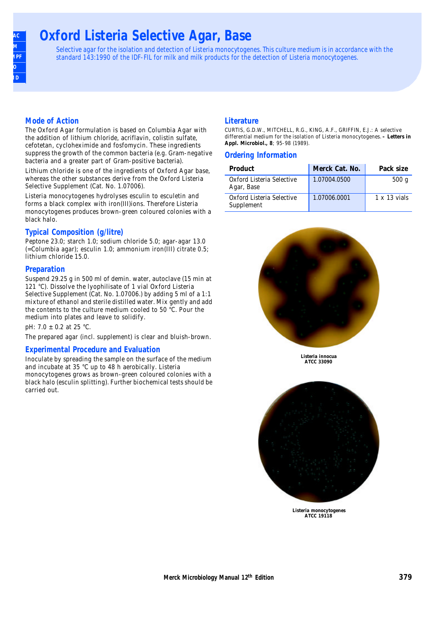### **AOAC BAM COMPRE ISO SMD**

# **Oxford Listeria Selective Agar, Base**

Selective agar for the isolation and detection of Listeria monocytogenes. This culture medium is in accordance with the standard 143:1990 of the IDF-FIL for milk and milk products for the detection of Listeria monocytogenes.

#### **Mode of Action**

The Oxford Agar formulation is based on Columbia Agar with the addition of lithium chloride, acriflavin, colistin sulfate, cefotetan, cycloheximide and fosfomycin. These ingredients suppress the growth of the common bacteria (e.g. Gram-negative bacteria and a greater part of Gram-positive bacteria).

Lithium chloride is one of the ingredients of Oxford Agar base, whereas the other substances derive from the Oxford Listeria Selective Supplement (Cat. No. 1.07006).

Listeria monocytogenes hydrolyses esculin to esculetin and forms a black complex with iron(III)ions. Therefore Listeria monocytogenes produces brown-green coloured colonies with a black halo.

#### **Typical Composition (g/litre)**

Peptone 23.0; starch 1.0; sodium chloride 5.0; agar-agar 13.0 (=Columbia agar); esculin 1.0; ammonium iron(III) citrate 0.5; lithium chloride 15.0.

#### **Preparation**

Suspend 29.25 g in 500 ml of demin. water, autoclave (15 min at 121 °C). Dissolve the lyophilisate of 1 vial Oxford Listeria Selective Supplement (Cat. No. 1.07006.) by adding 5 ml of a 1:1 mixture of ethanol and sterile distilled water. Mix gently and add the contents to the culture medium cooled to 50 °C. Pour the medium into plates and leave to solidify.

pH: 7.0 ± 0.2 at 25 °C.

The prepared agar (incl. supplement) is clear and bluish-brown.

#### **Experimental Procedure and Evaluation**

Inoculate by spreading the sample on the surface of the medium and incubate at 35 °C up to 48 h aerobically. Listeria monocytogenes grows as brown-green coloured colonies with a black halo (esculin splitting). Further biochemical tests should be carried out.

#### **Literature**

CURTIS, G.D.W., MITCHELL, R.G., KING, A.F., GRIFFIN, E.J.: A selective differential medium for the isolation of Listeria monocytogenes. **– Letters in Appl. Microbiol., 8**; 95-98 (1989).

#### **Ordering Information**

| Product                                 | Merck Cat. No. | Pack size           |
|-----------------------------------------|----------------|---------------------|
| Oxford Listeria Selective<br>Agar, Base | 1.07004.0500   | 500 g               |
| Oxford Listeria Selective<br>Supplement | 1.07006.0001   | $1 \times 13$ vials |



**Listeria innocua ATCC 33090**



**Listeria monocytogenes ATCC 19118**